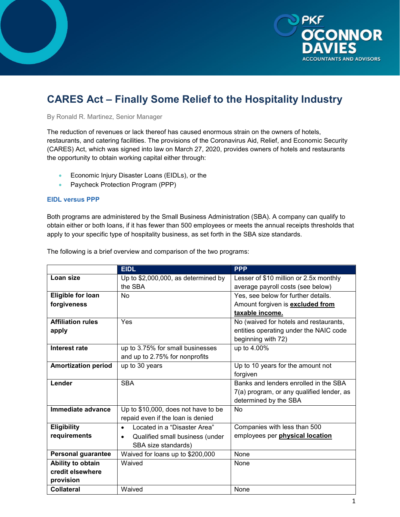

# **CARES Act ‒ Finally Some Relief to the Hospitality Industry**

By Ronald R. Martinez, Senior Manager

The reduction of revenues or lack thereof has caused enormous strain on the owners of hotels, restaurants, and catering facilities. The provisions of the Coronavirus Aid, Relief, and Economic Security (CARES) Act, which was signed into law on March 27, 2020, provides owners of hotels and restaurants the opportunity to obtain working capital either through:

- Economic Injury Disaster Loans (EIDLs), or the
- Paycheck Protection Program (PPP)

## **EIDL versus PPP**

Both programs are administered by the Small Business Administration (SBA). A company can qualify to obtain either or both loans, if it has fewer than 500 employees or meets the annual receipts thresholds that apply to your specific type of hospitality business, as set forth in the SBA size standards.

|                            | <b>EIDL</b>                                  | <b>PPP</b>                                |
|----------------------------|----------------------------------------------|-------------------------------------------|
| Loan size                  | Up to \$2,000,000, as determined by          | Lesser of \$10 million or 2.5x monthly    |
|                            | the SBA                                      | average payroll costs (see below)         |
| <b>Eligible for loan</b>   | <b>No</b>                                    | Yes, see below for further details.       |
| forgiveness                |                                              | Amount forgiven is <b>excluded from</b>   |
|                            |                                              | taxable income.                           |
| <b>Affiliation rules</b>   | Yes                                          | No (waived for hotels and restaurants,    |
| apply                      |                                              | entities operating under the NAIC code    |
|                            |                                              | beginning with 72)                        |
| Interest rate              | up to 3.75% for small businesses             | up to 4.00%                               |
|                            | and up to 2.75% for nonprofits               |                                           |
| <b>Amortization period</b> | up to 30 years                               | Up to 10 years for the amount not         |
|                            |                                              | forgiven                                  |
| Lender                     | <b>SBA</b>                                   | Banks and lenders enrolled in the SBA     |
|                            |                                              | 7(a) program, or any qualified lender, as |
|                            |                                              | determined by the SBA                     |
| Immediate advance          | Up to \$10,000, does not have to be          | No                                        |
|                            | repaid even if the loan is denied            |                                           |
| <b>Eligibility</b>         | Located in a "Disaster Area"<br>$\bullet$    | Companies with less than 500              |
| requirements               | Qualified small business (under<br>$\bullet$ | employees per <b>physical location</b>    |
|                            | SBA size standards)                          |                                           |
| <b>Personal guarantee</b>  | Waived for loans up to \$200,000             | None                                      |
| Ability to obtain          | Waived                                       | None                                      |
| credit elsewhere           |                                              |                                           |
| provision                  |                                              |                                           |
| <b>Collateral</b>          | Waived                                       | None                                      |

The following is a brief overview and comparison of the two programs: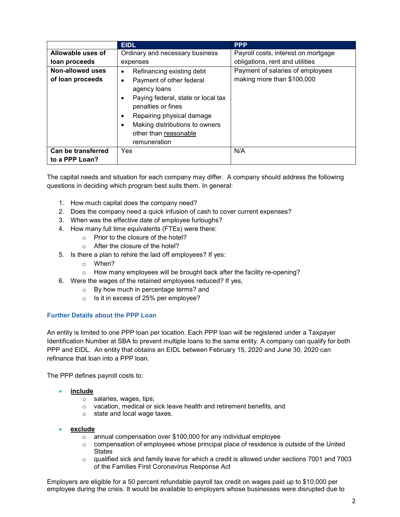|                         | <b>EIDL</b>                                                                                                                                                                                                                      | <b>PPP</b>                          |
|-------------------------|----------------------------------------------------------------------------------------------------------------------------------------------------------------------------------------------------------------------------------|-------------------------------------|
| Allowable uses of       | Ordinary and necessary business                                                                                                                                                                                                  | Payroll costs, interest on mortgage |
| loan proceeds           | expenses                                                                                                                                                                                                                         | obligations, rent and utilities     |
| <b>Non-allowed uses</b> | Refinancing existing debt<br>$\bullet$                                                                                                                                                                                           | Payment of salaries of employees    |
| of loan proceeds        | Payment of other federal<br>٠<br>agency loans<br>Paying federal, state or local tax<br>٠<br>penalties or fines<br>Repairing physical damage<br>٠<br>Making distributions to owners<br>٠<br>other than reasonable<br>remuneration | making more than \$100,000          |
| Can be transferred      | <b>Yes</b>                                                                                                                                                                                                                       | N/A                                 |
| to a PPP Loan?          |                                                                                                                                                                                                                                  |                                     |

The capital needs and situation for each company may differ. A company should address the following questions in deciding which program best suits them. In general:

- 1. How much capital does the company need?
- 2. Does the company need a quick infusion of cash to cover current expenses?
- 3. When was the effective date of employee furloughs?
- 4. How many full time equivalents (FTEs) were there:
	- o Prior to the closure of the hotel?
	- o After the closure of the hotel?
- 5. Is there a plan to rehire the laid off employees? If yes:
	- o When?
	- o How many employees will be brought back after the facility re-opening?
- 6. Were the wages of the retained employees reduced? If yes,
	- o By how much in percentage terms? and
	- o Is it in excess of 25% per employee?

## **Further Details about the PPP Loan**

An entity is limited to one PPP loan per location. Each PPP loan will be registered under a Taxpayer Identification Number at SBA to prevent multiple loans to the same entity. A company can qualify for both PPP and EIDL. An entity that obtains an EIDL between February 15, 2020 and June 30, 2020 can refinance that loan into a PPP loan.

The PPP defines payroll costs to:

## • **include**

- o salaries, wages, tips;
- o vacation, medical or sick leave health and retirement benefits, and
- o state and local wage taxes.
- **exclude** 
	- o annual compensation over \$100,000 for any individual employee
	- $\circ$  compensation of employees whose principal place of residence is outside of the United **States**
	- $\circ$  qualified sick and family leave for which a credit is allowed under sections 7001 and 7003 of the Families First Coronavirus Response Act

Employers are eligible for a 50 percent refundable payroll tax credit on wages paid up to \$10,000 per employee during the crisis. It would be available to employers whose businesses were disrupted due to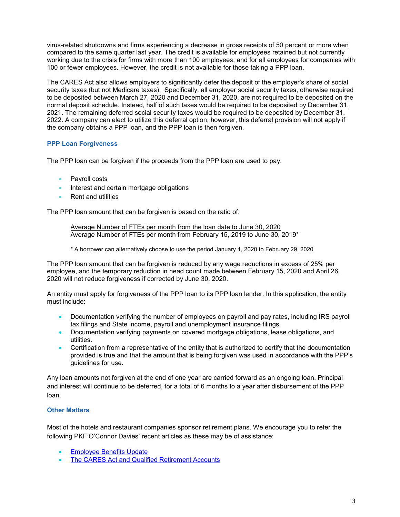virus-related shutdowns and firms experiencing a decrease in gross receipts of 50 percent or more when compared to the same quarter last year. The credit is available for employees retained but not currently working due to the crisis for firms with more than 100 employees, and for all employees for companies with 100 or fewer employees. However, the credit is not available for those taking a PPP loan.

The CARES Act also allows employers to significantly defer the deposit of the employer's share of social security taxes (but not Medicare taxes). Specifically, all employer social security taxes, otherwise required to be deposited between March 27, 2020 and December 31, 2020, are not required to be deposited on the normal deposit schedule. Instead, half of such taxes would be required to be deposited by December 31, 2021. The remaining deferred social security taxes would be required to be deposited by December 31, 2022. A company can elect to utilize this deferral option; however, this deferral provision will not apply if the company obtains a PPP loan, and the PPP loan is then forgiven.

## **PPP Loan Forgiveness**

The PPP loan can be forgiven if the proceeds from the PPP loan are used to pay:

- Payroll costs
- Interest and certain mortgage obligations
- Rent and utilities

The PPP loan amount that can be forgiven is based on the ratio of:

Average Number of FTEs per month from the loan date to June 30, 2020 Average Number of FTEs per month from February 15, 2019 to June 30, 2019\*

\* A borrower can alternatively choose to use the period January 1, 2020 to February 29, 2020

The PPP loan amount that can be forgiven is reduced by any wage reductions in excess of 25% per employee, and the temporary reduction in head count made between February 15, 2020 and April 26, 2020 will not reduce forgiveness if corrected by June 30, 2020.

An entity must apply for forgiveness of the PPP loan to its PPP loan lender. In this application, the entity must include:

- Documentation verifying the number of employees on payroll and pay rates, including IRS payroll tax filings and State income, payroll and unemployment insurance filings.
- Documentation verifying payments on covered mortgage obligations, lease obligations, and utilities.
- Certification from a representative of the entity that is authorized to certify that the documentation provided is true and that the amount that is being forgiven was used in accordance with the PPP's guidelines for use.

Any loan amounts not forgiven at the end of one year are carried forward as an ongoing loan. Principal and interest will continue to be deferred, for a total of 6 months to a year after disbursement of the PPP loan.

## **Other Matters**

Most of the hotels and restaurant companies sponsor retirement plans. We encourage you to refer the following PKF O'Connor Davies' recent articles as these may be of assistance:

- **[Employee Benefits Update](https://www.pkfod.com/insights/covid-19-employee-benefits-update/)**
- [The CARES Act and Qualified Retirement Accounts](https://www.pkfod.com/insights/the-cares-act-and-qualified-retirement-accounts/)